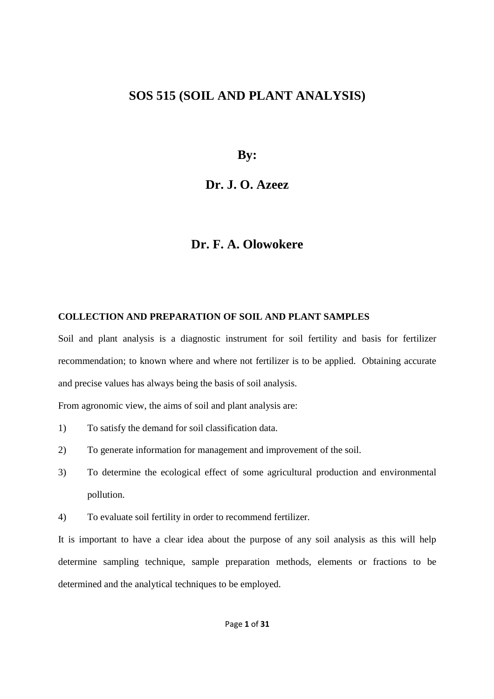# **SOS 515 (SOIL AND PLANT ANALYSIS)**

**By:** 

## **Dr. J. O. Azeez**

# **Dr. F. A. Olowokere**

#### **COLLECTION AND PREPARATION OF SOIL AND PLANT SAMPLES**

Soil and plant analysis is a diagnostic instrument for soil fertility and basis for fertilizer recommendation; to known where and where not fertilizer is to be applied. Obtaining accurate and precise values has always being the basis of soil analysis.

From agronomic view, the aims of soil and plant analysis are:

- 1) To satisfy the demand for soil classification data.
- 2) To generate information for management and improvement of the soil.
- 3) To determine the ecological effect of some agricultural production and environmental pollution.
- 4) To evaluate soil fertility in order to recommend fertilizer.

It is important to have a clear idea about the purpose of any soil analysis as this will help determine sampling technique, sample preparation methods, elements or fractions to be determined and the analytical techniques to be employed.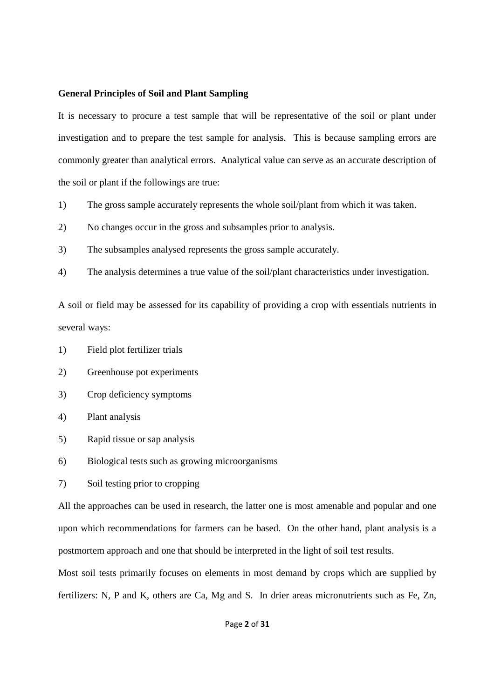#### **General Principles of Soil and Plant Sampling**

It is necessary to procure a test sample that will be representative of the soil or plant under investigation and to prepare the test sample for analysis. This is because sampling errors are commonly greater than analytical errors. Analytical value can serve as an accurate description of the soil or plant if the followings are true:

- 1) The gross sample accurately represents the whole soil/plant from which it was taken.
- 2) No changes occur in the gross and subsamples prior to analysis.
- 3) The subsamples analysed represents the gross sample accurately.
- 4) The analysis determines a true value of the soil/plant characteristics under investigation.

A soil or field may be assessed for its capability of providing a crop with essentials nutrients in several ways:

- 1) Field plot fertilizer trials
- 2) Greenhouse pot experiments
- 3) Crop deficiency symptoms
- 4) Plant analysis
- 5) Rapid tissue or sap analysis
- 6) Biological tests such as growing microorganisms
- 7) Soil testing prior to cropping

All the approaches can be used in research, the latter one is most amenable and popular and one upon which recommendations for farmers can be based. On the other hand, plant analysis is a postmortem approach and one that should be interpreted in the light of soil test results.

Most soil tests primarily focuses on elements in most demand by crops which are supplied by fertilizers: N, P and K, others are Ca, Mg and S. In drier areas micronutrients such as Fe, Zn,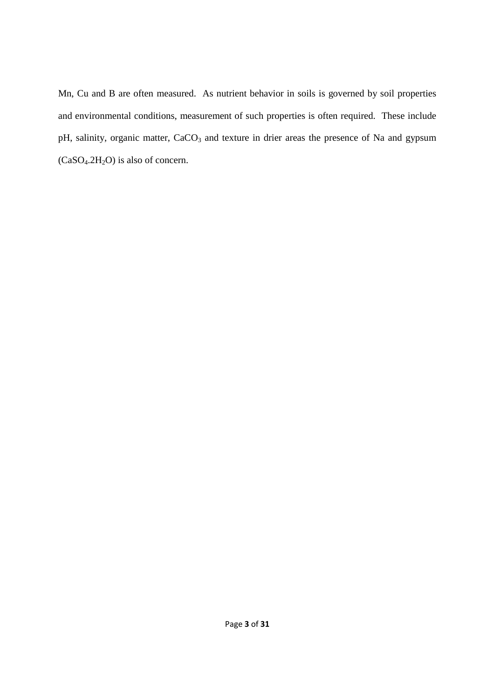Mn, Cu and B are often measured. As nutrient behavior in soils is governed by soil properties and environmental conditions, measurement of such properties is often required. These include pH, salinity, organic matter, CaCO<sub>3</sub> and texture in drier areas the presence of Na and gypsum  $(CaSO<sub>4</sub>.2H<sub>2</sub>O)$  is also of concern.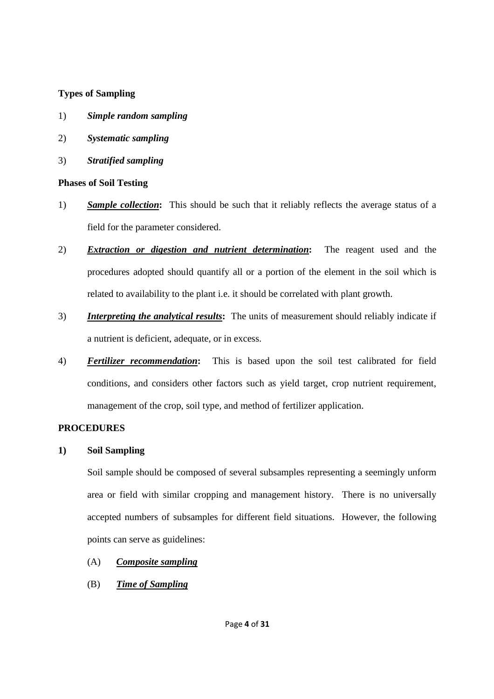### **Types of Sampling**

- 1) *Simple random sampling*
- 2) *Systematic sampling*
- 3) *Stratified sampling*

### **Phases of Soil Testing**

- 1) *Sample collection***:** This should be such that it reliably reflects the average status of a field for the parameter considered.
- 2) *Extraction or digestion and nutrient determination***:** The reagent used and the procedures adopted should quantify all or a portion of the element in the soil which is related to availability to the plant i.e. it should be correlated with plant growth.
- 3) *Interpreting the analytical results***:** The units of measurement should reliably indicate if a nutrient is deficient, adequate, or in excess.
- 4) *Fertilizer recommendation***:** This is based upon the soil test calibrated for field conditions, and considers other factors such as yield target, crop nutrient requirement, management of the crop, soil type, and method of fertilizer application.

#### **PROCEDURES**

## **1) Soil Sampling**

Soil sample should be composed of several subsamples representing a seemingly unform area or field with similar cropping and management history. There is no universally accepted numbers of subsamples for different field situations. However, the following points can serve as guidelines:

## (A) *Composite sampling*

## (B) *Time of Sampling*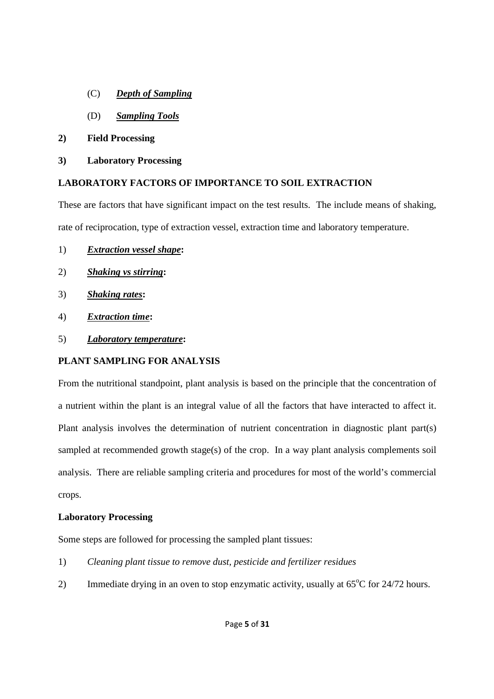- (C) *Depth of Sampling*
- (D) *Sampling Tools*
- **2) Field Processing**
- **3) Laboratory Processing**

### **LABORATORY FACTORS OF IMPORTANCE TO SOIL EXTRACTION**

These are factors that have significant impact on the test results. The include means of shaking, rate of reciprocation, type of extraction vessel, extraction time and laboratory temperature.

- 1) *Extraction vessel shape***:**
- 2) *Shaking vs stirring***:**
- 3) *Shaking rates***:**
- 4) *Extraction time***:**
- 5) *Laboratory temperature***:**

## **PLANT SAMPLING FOR ANALYSIS**

From the nutritional standpoint, plant analysis is based on the principle that the concentration of a nutrient within the plant is an integral value of all the factors that have interacted to affect it. Plant analysis involves the determination of nutrient concentration in diagnostic plant part(s) sampled at recommended growth stage(s) of the crop. In a way plant analysis complements soil analysis. There are reliable sampling criteria and procedures for most of the world's commercial crops.

#### **Laboratory Processing**

Some steps are followed for processing the sampled plant tissues:

- 1) *Cleaning plant tissue to remove dust, pesticide and fertilizer residues*
- 2) Immediate drying in an oven to stop enzymatic activity, usually at  $65^{\circ}$ C for  $24/72$  hours.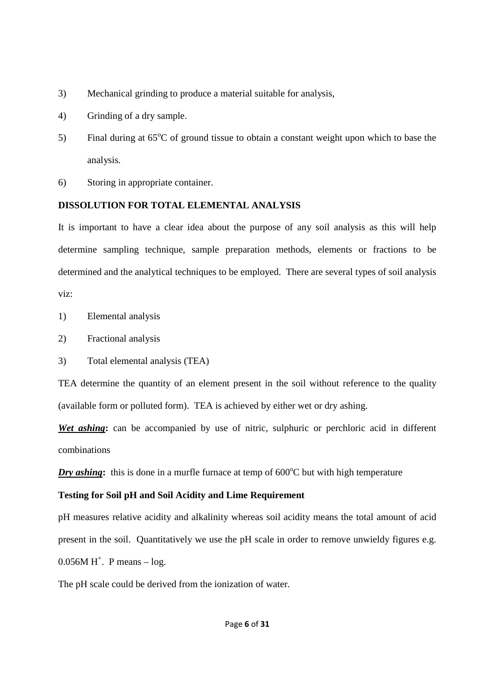- 3) Mechanical grinding to produce a material suitable for analysis,
- 4) Grinding of a dry sample.
- 5) Final during at  $65^{\circ}$ C of ground tissue to obtain a constant weight upon which to base the analysis.
- 6) Storing in appropriate container.

#### **DISSOLUTION FOR TOTAL ELEMENTAL ANALYSIS**

It is important to have a clear idea about the purpose of any soil analysis as this will help determine sampling technique, sample preparation methods, elements or fractions to be determined and the analytical techniques to be employed. There are several types of soil analysis viz:

- 1) Elemental analysis
- 2) Fractional analysis
- 3) Total elemental analysis (TEA)

TEA determine the quantity of an element present in the soil without reference to the quality (available form or polluted form). TEA is achieved by either wet or dry ashing.

*Wet ashing***:** can be accompanied by use of nitric, sulphuric or perchloric acid in different combinations

*Dry ashing*: this is done in a murfle furnace at temp of  $600^{\circ}$ C but with high temperature

#### **Testing for Soil pH and Soil Acidity and Lime Requirement**

pH measures relative acidity and alkalinity whereas soil acidity means the total amount of acid present in the soil. Quantitatively we use the pH scale in order to remove unwieldy figures e.g.  $0.056M H^+$ . P means  $-$  log.

The pH scale could be derived from the ionization of water.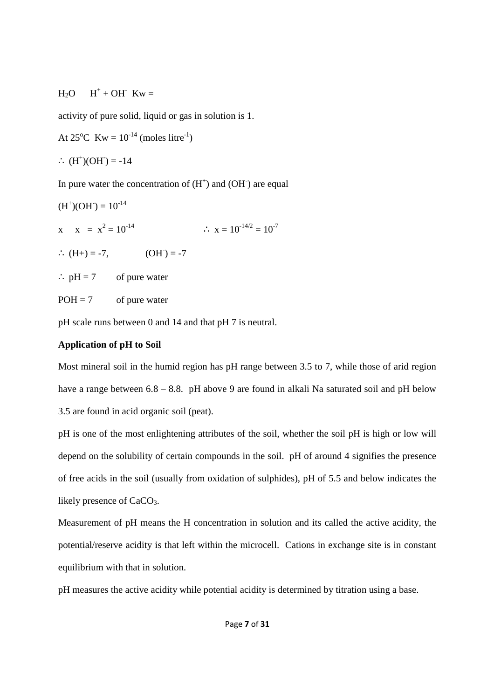#### $H<sub>2</sub>O$  $+ OH^-$  Kw =

activity of pure solid, liquid or gas in solution is 1.

At  $25^{\circ}$ C Kw =  $10^{-14}$  (moles litre<sup>-1</sup>)

∴  $(H<sup>+</sup>)(OH) = -14$ 

In pure water the concentration of  $(H<sup>+</sup>)$  and  $(OH<sup>-</sup>)$  are equal

(H<sup>+</sup> )(OH- ) = 10-14 x x = x 2 = 10-14 ∴ x = 10-14/2 = 10-7 ∴ (H+) = -7, (OH- ) = -7 ∴ pH = 7 of pure water POH = 7 of pure water

pH scale runs between 0 and 14 and that pH 7 is neutral.

#### **Application of pH to Soil**

Most mineral soil in the humid region has pH range between 3.5 to 7, while those of arid region have a range between  $6.8 - 8.8$ . pH above 9 are found in alkali Na saturated soil and pH below 3.5 are found in acid organic soil (peat).

pH is one of the most enlightening attributes of the soil, whether the soil pH is high or low will depend on the solubility of certain compounds in the soil. pH of around 4 signifies the presence of free acids in the soil (usually from oxidation of sulphides), pH of 5.5 and below indicates the likely presence of CaCO<sub>3</sub>.

Measurement of pH means the H concentration in solution and its called the active acidity, the potential/reserve acidity is that left within the microcell. Cations in exchange site is in constant equilibrium with that in solution.

pH measures the active acidity while potential acidity is determined by titration using a base.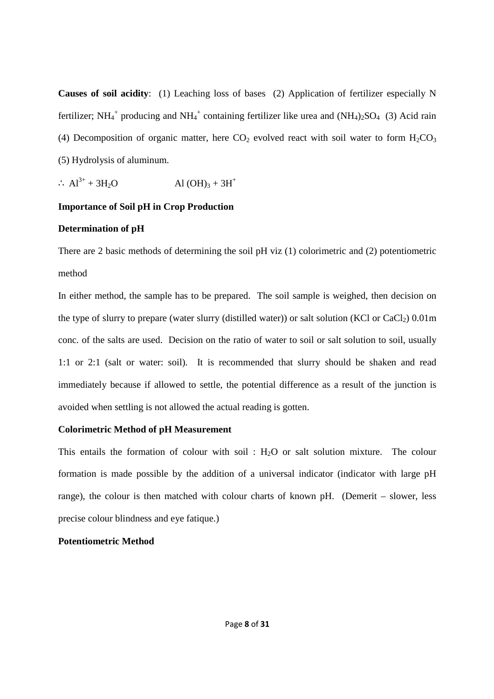**Causes of soil acidity**: (1) Leaching loss of bases (2) Application of fertilizer especially N fertilizer; NH<sub>4</sub><sup>+</sup> producing and NH<sub>4</sub><sup>+</sup> containing fertilizer like urea and (NH<sub>4</sub>)<sub>2</sub>SO<sub>4</sub> (3) Acid rain (4) Decomposition of organic matter, here  $CO<sub>2</sub>$  evolved react with soil water to form  $H<sub>2</sub>CO<sub>3</sub>$ (5) Hydrolysis of aluminum.

$$
\therefore Al^{3+} + 3H_2O \qquad \qquad Al(OH)_3 + 3H^+
$$

#### **Importance of Soil pH in Crop Production**

#### **Determination of pH**

There are 2 basic methods of determining the soil pH viz (1) colorimetric and (2) potentiometric method

In either method, the sample has to be prepared. The soil sample is weighed, then decision on the type of slurry to prepare (water slurry (distilled water)) or salt solution (KCl or  $CaCl<sub>2</sub>$ ) 0.01m conc. of the salts are used. Decision on the ratio of water to soil or salt solution to soil, usually 1:1 or 2:1 (salt or water: soil). It is recommended that slurry should be shaken and read immediately because if allowed to settle, the potential difference as a result of the junction is avoided when settling is not allowed the actual reading is gotten.

## **Colorimetric Method of pH Measurement**

This entails the formation of colour with soil :  $H_2O$  or salt solution mixture. The colour formation is made possible by the addition of a universal indicator (indicator with large pH range), the colour is then matched with colour charts of known pH. (Demerit – slower, less precise colour blindness and eye fatique.)

#### **Potentiometric Method**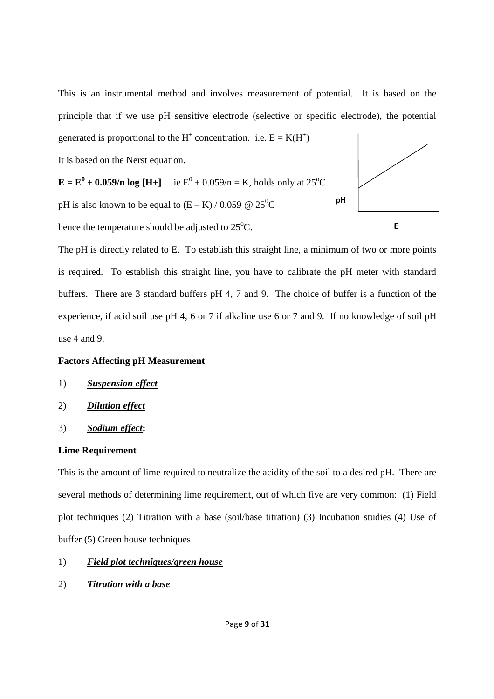This is an instrumental method and involves measurement of potential. It is based on the principle that if we use pH sensitive electrode (selective or specific electrode), the potential generated is proportional to the H<sup>+</sup> concentration. i.e.  $E = K(H^+)$ 

It is based on the Nerst equation.



hence the temperature should be adjusted to  $25^{\circ}$ C.

The pH is directly related to E. To establish this straight line, a minimum of two or more points is required. To establish this straight line, you have to calibrate the pH meter with standard buffers. There are 3 standard buffers pH 4, 7 and 9. The choice of buffer is a function of the experience, if acid soil use pH 4, 6 or 7 if alkaline use 6 or 7 and 9. If no knowledge of soil pH use 4 and 9.

#### **Factors Affecting pH Measurement**

- 1) *Suspension effect*
- 2) *Dilution effect*
- 3) *Sodium effect***:**

#### **Lime Requirement**

This is the amount of lime required to neutralize the acidity of the soil to a desired pH. There are several methods of determining lime requirement, out of which five are very common: (1) Field plot techniques (2) Titration with a base (soil/base titration) (3) Incubation studies (4) Use of buffer (5) Green house techniques

#### 1) *Field plot techniques/green house*

2) *Titration with a base*

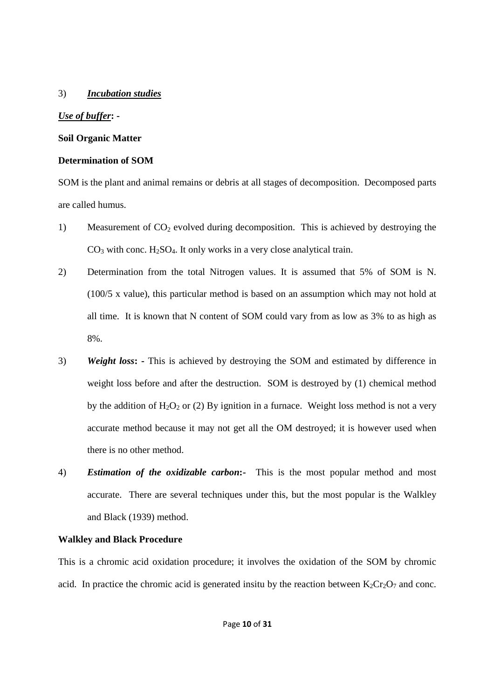#### 3) *Incubation studies*

#### *Use of buffer***: -**

#### **Soil Organic Matter**

#### **Determination of SOM**

SOM is the plant and animal remains or debris at all stages of decomposition. Decomposed parts are called humus.

- 1) Measurement of  $CO<sub>2</sub>$  evolved during decomposition. This is achieved by destroying the  $CO<sub>3</sub>$  with conc. H<sub>2</sub>SO<sub>4</sub>. It only works in a very close analytical train.
- 2) Determination from the total Nitrogen values. It is assumed that 5% of SOM is N. (100/5 x value), this particular method is based on an assumption which may not hold at all time. It is known that N content of SOM could vary from as low as 3% to as high as 8%.
- 3) *Weight loss***: -** This is achieved by destroying the SOM and estimated by difference in weight loss before and after the destruction. SOM is destroyed by (1) chemical method by the addition of  $H_2O_2$  or (2) By ignition in a furnace. Weight loss method is not a very accurate method because it may not get all the OM destroyed; it is however used when there is no other method.
- 4) *Estimation of the oxidizable carbon***:-** This is the most popular method and most accurate. There are several techniques under this, but the most popular is the Walkley and Black (1939) method.

## **Walkley and Black Procedure**

This is a chromic acid oxidation procedure; it involves the oxidation of the SOM by chromic acid. In practice the chromic acid is generated insitu by the reaction between  $K_2Cr_2O_7$  and conc.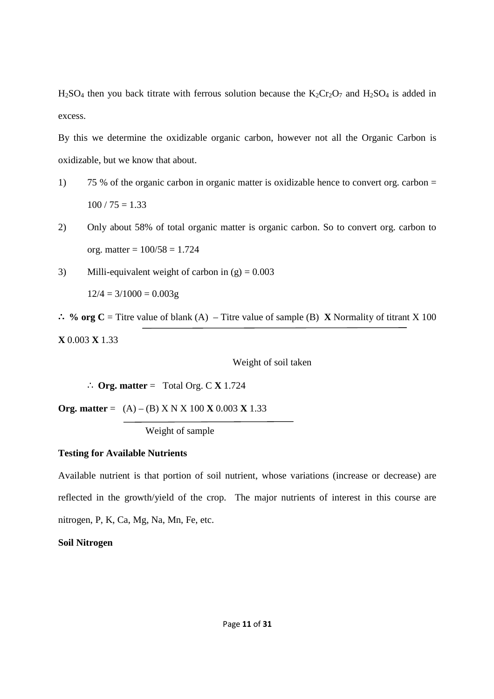$H_2SO_4$  then you back titrate with ferrous solution because the  $K_2Cr_2O_7$  and  $H_2SO_4$  is added in excess.

By this we determine the oxidizable organic carbon, however not all the Organic Carbon is oxidizable, but we know that about.

- 1) 75 % of the organic carbon in organic matter is oxidizable hence to convert org. carbon =  $100 / 75 = 1.33$
- 2) Only about 58% of total organic matter is organic carbon. So to convert org. carbon to org. matter =  $100/58 = 1.724$
- 3) Milli-equivalent weight of carbon in  $(g) = 0.003$

 $12/4 = 3/1000 = 0.003g$ 

∴ **% org C** = Titre value of blank (A) – Titre value of sample (B) **X** Normality of titrant X 100 **X** 0.003 **X** 1.33

Weight of soil taken

∴ **Org. matter** = Total Org. C **X** 1.724

**Org. matter** =  $(A) - (B)$  X N X 100 **X** 0.003 **X** 1.33

Weight of sample

#### **Testing for Available Nutrients**

Available nutrient is that portion of soil nutrient, whose variations (increase or decrease) are reflected in the growth/yield of the crop. The major nutrients of interest in this course are nitrogen, P, K, Ca, Mg, Na, Mn, Fe, etc.

#### **Soil Nitrogen**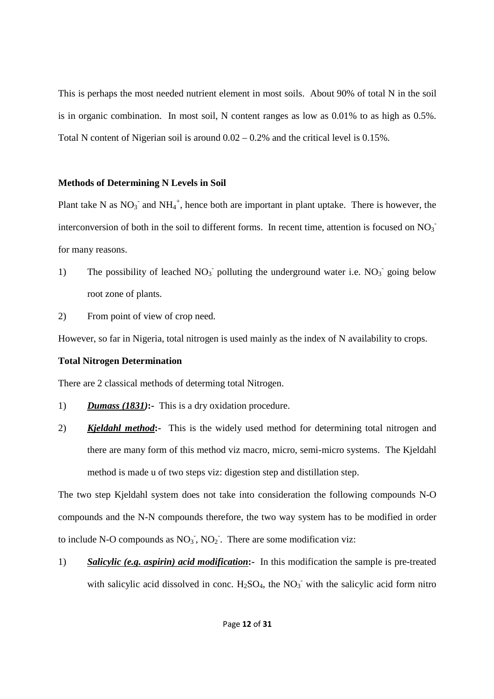This is perhaps the most needed nutrient element in most soils. About 90% of total N in the soil is in organic combination. In most soil, N content ranges as low as 0.01% to as high as 0.5%. Total N content of Nigerian soil is around 0.02 – 0.2% and the critical level is 0.15%.

#### **Methods of Determining N Levels in Soil**

Plant take N as  $NO_3^-$  and  $NH_4^+$ , hence both are important in plant uptake. There is however, the interconversion of both in the soil to different forms. In recent time, attention is focused on  $NO<sub>3</sub>$ for many reasons.

1) The possibility of leached  $NO<sub>3</sub>$  polluting the underground water i.e.  $NO<sub>3</sub>$  going below root zone of plants.

2) From point of view of crop need.

However, so far in Nigeria, total nitrogen is used mainly as the index of N availability to crops.

#### **Total Nitrogen Determination**

There are 2 classical methods of determing total Nitrogen.

- 1) *Dumass (1831)***:-** This is a dry oxidation procedure.
- 2) *Kjeldahl method***:-** This is the widely used method for determining total nitrogen and there are many form of this method viz macro, micro, semi-micro systems. The Kjeldahl method is made u of two steps viz: digestion step and distillation step.

The two step Kjeldahl system does not take into consideration the following compounds N-O compounds and the N-N compounds therefore, the two way system has to be modified in order to include N-O compounds as  $NO_3$ ,  $NO_2$ . There are some modification viz:

1) *Salicylic (e.g. aspirin) acid modification***:-** In this modification the sample is pre-treated with salicylic acid dissolved in conc.  $H_2SO_4$ , the  $NO_3$ <sup>-</sup> with the salicylic acid form nitro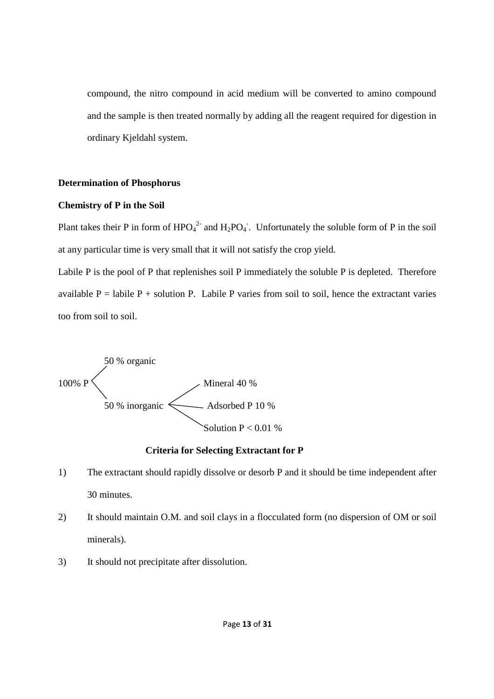compound, the nitro compound in acid medium will be converted to amino compound and the sample is then treated normally by adding all the reagent required for digestion in ordinary Kjeldahl system.

#### **Determination of Phosphorus**

#### **Chemistry of P in the Soil**

Plant takes their P in form of  $HPO<sub>4</sub><sup>2</sup>$  and  $H<sub>2</sub>PO<sub>4</sub>$ . Unfortunately the soluble form of P in the soil at any particular time is very small that it will not satisfy the crop yield.

Labile P is the pool of P that replenishes soil P immediately the soluble P is depleted. Therefore available  $P =$  labile  $P +$  solution P. Labile P varies from soil to soil, hence the extractant varies too from soil to soil.



#### **Criteria for Selecting Extractant for P**

- 1) The extractant should rapidly dissolve or desorb P and it should be time independent after 30 minutes.
- 2) It should maintain O.M. and soil clays in a flocculated form (no dispersion of OM or soil minerals).
- 3) It should not precipitate after dissolution.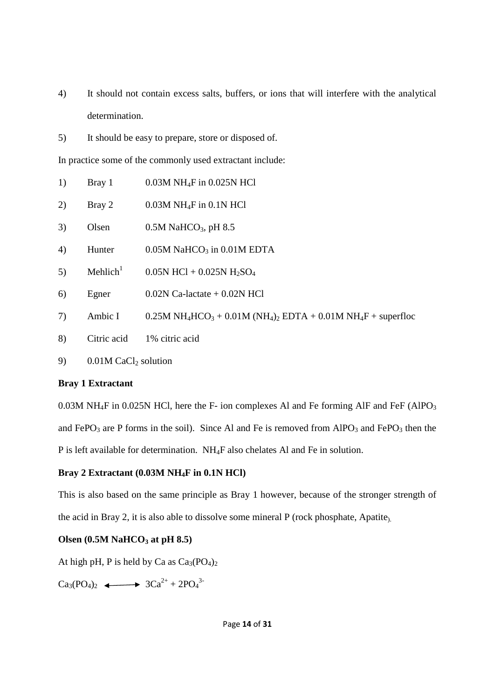- 4) It should not contain excess salts, buffers, or ions that will interfere with the analytical determination.
- 5) It should be easy to prepare, store or disposed of.

In practice some of the commonly used extractant include:

- 1) Bray 1 0.03M NH<sub>4</sub>F in 0.025N HCl
- 2) Bray 2  $0.03M \text{ NH}_4\text{F}$  in 0.1N HCl
- 3) Olsen  $0.5M$  NaHCO<sub>3</sub>, pH 8.5
- 4) Hunter  $0.05M$  NaHCO<sub>3</sub> in 0.01M EDTA
- 5) Mehlich<sup>1</sup>  $0.05N$  HCl +  $0.025N$  H<sub>2</sub>SO<sub>4</sub>
- 6) Egner  $0.02N$  Ca-lactate + 0.02N HCl
- 7) Ambic I  $0.25M NH<sub>4</sub>HCO<sub>3</sub> + 0.01M (NH<sub>4</sub>)<sub>2</sub> EDTA + 0.01M NH<sub>4</sub>F + superfloc$
- 8) Citric acid 1% citric acid
- 9)  $0.01M$  CaCl<sub>2</sub> solution

#### **Bray 1 Extractant**

 $0.03M$  NH<sub>4</sub>F in 0.025N HCl, here the F- ion complexes Al and Fe forming AlF and FeF (AlPO<sub>3</sub>) and FePO<sub>3</sub> are P forms in the soil). Since Al and Fe is removed from AlPO<sub>3</sub> and FePO<sub>3</sub> then the P is left available for determination. NH4F also chelates Al and Fe in solution.

### **Bray 2 Extractant (0.03M NH4F in 0.1N HCl)**

This is also based on the same principle as Bray 1 however, because of the stronger strength of the acid in Bray 2, it is also able to dissolve some mineral P (rock phosphate, Apatite).

#### **Olsen (0.5M NaHCO3 at pH 8.5)**

At high pH, P is held by Ca as  $Ca<sub>3</sub>(PO<sub>4</sub>)<sub>2</sub>$ 

 $Ca_3(PO_4)_2 \longleftrightarrow 3Ca^{2+} + 2PO_4^{3-}$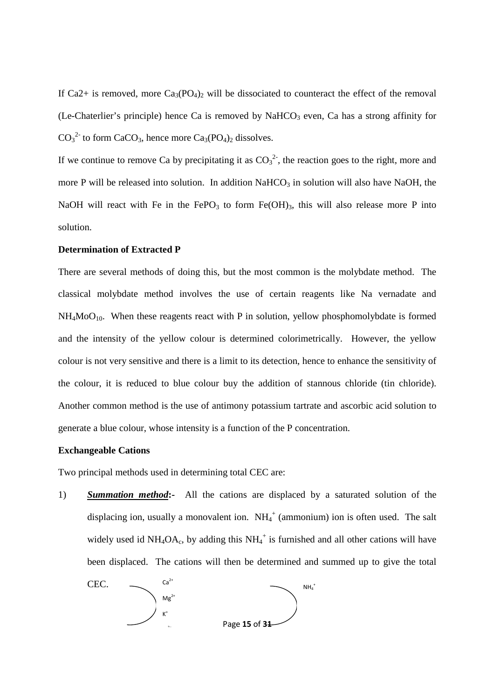If Ca2+ is removed, more  $Ca_3(PO_4)_2$  will be dissociated to counteract the effect of the removal (Le-Chaterlier's principle) hence Ca is removed by NaHCO<sub>3</sub> even, Ca has a strong affinity for  $CO_3^2$  to form CaCO<sub>3</sub>, hence more Ca<sub>3</sub>(PO<sub>4</sub>)<sub>2</sub> dissolves.

If we continue to remove Ca by precipitating it as  $CO<sub>3</sub><sup>2</sup>$ , the reaction goes to the right, more and more P will be released into solution. In addition  $NaHCO<sub>3</sub>$  in solution will also have NaOH, the NaOH will react with Fe in the FePO<sub>3</sub> to form  $Fe(OH)_{3}$ , this will also release more P into solution.

#### **Determination of Extracted P**

There are several methods of doing this, but the most common is the molybdate method. The classical molybdate method involves the use of certain reagents like Na vernadate and  $NH<sub>4</sub>MoO<sub>10</sub>$ . When these reagents react with P in solution, yellow phosphomolybdate is formed and the intensity of the yellow colour is determined colorimetrically. However, the yellow colour is not very sensitive and there is a limit to its detection, hence to enhance the sensitivity of the colour, it is reduced to blue colour buy the addition of stannous chloride (tin chloride). Another common method is the use of antimony potassium tartrate and ascorbic acid solution to generate a blue colour, whose intensity is a function of the P concentration.

#### **Exchangeable Cations**

Two principal methods used in determining total CEC are:

1) *Summation method***:-** All the cations are displaced by a saturated solution of the displacing ion, usually a monovalent ion.  $NH_4^+$  (ammonium) ion is often used. The salt widely used id  $NH_4OA_c$ , by adding this  $NH_4^+$  is furnished and all other cations will have been displaced. The cations will then be determined and summed up to give the total

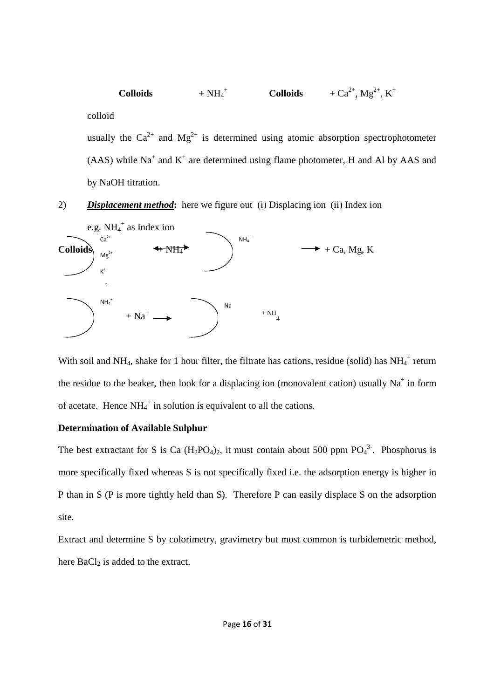$Colloids$  $+NH<sub>4</sub><sup>+</sup>$ **Colloids**  $+ Ca^{2+}, Mg^{2+}, K^+$ colloid usually the  $Ca^{2+}$  and  $Mg^{2+}$  is determined using atomic absorption spectrophotometer

 $(AAS)$  while Na<sup>+</sup> and K<sup>+</sup> are determined using flame photometer, H and Al by AAS and by NaOH titration.

2) *Displacement method***:** here we figure out (i) Displacing ion (ii) Index ion



With soil and NH<sub>4</sub>, shake for 1 hour filter, the filtrate has cations, residue (solid) has  $NH_4^+$  return the residue to the beaker, then look for a displacing ion (monovalent cation) usually  $Na^+$  in form of acetate. Hence  $NH_4^+$  in solution is equivalent to all the cations.

#### **Determination of Available Sulphur**

The best extractant for S is Ca  $(H_2PO_4)_2$ , it must contain about 500 ppm  $PO_4^3$ . Phosphorus is more specifically fixed whereas S is not specifically fixed i.e. the adsorption energy is higher in P than in S (P is more tightly held than S). Therefore P can easily displace S on the adsorption site.

Extract and determine S by colorimetry, gravimetry but most common is turbidemetric method, here  $BaCl<sub>2</sub>$  is added to the extract.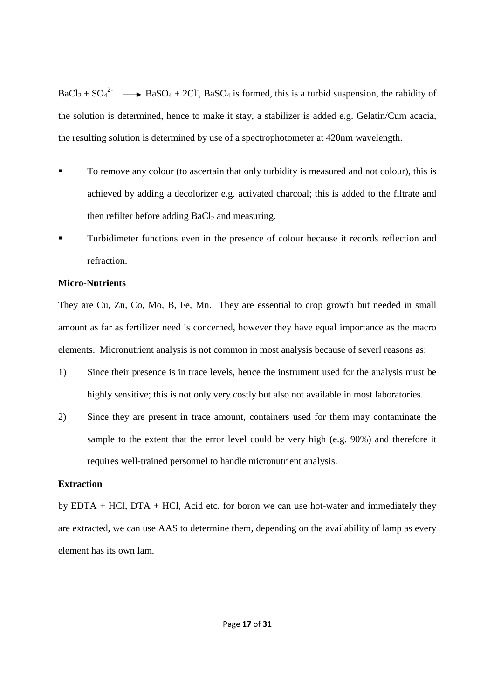$BaCl_2 + SO_4^2$   $\longrightarrow$  BaSO<sub>4</sub> + 2Cl<sup>-</sup>, BaSO<sub>4</sub> is formed, this is a turbid suspension, the rabidity of the solution is determined, hence to make it stay, a stabilizer is added e.g. Gelatin/Cum acacia, the resulting solution is determined by use of a spectrophotometer at 420nm wavelength.

- To remove any colour (to ascertain that only turbidity is measured and not colour), this is achieved by adding a decolorizer e.g. activated charcoal; this is added to the filtrate and then refilter before adding  $BaCl<sub>2</sub>$  and measuring.
- Turbidimeter functions even in the presence of colour because it records reflection and refraction.

#### **Micro-Nutrients**

They are Cu, Zn, Co, Mo, B, Fe, Mn. They are essential to crop growth but needed in small amount as far as fertilizer need is concerned, however they have equal importance as the macro elements. Micronutrient analysis is not common in most analysis because of severl reasons as:

- 1) Since their presence is in trace levels, hence the instrument used for the analysis must be highly sensitive; this is not only very costly but also not available in most laboratories.
- 2) Since they are present in trace amount, containers used for them may contaminate the sample to the extent that the error level could be very high (e.g. 90%) and therefore it requires well-trained personnel to handle micronutrient analysis.

#### **Extraction**

by EDTA + HCl, DTA + HCl, Acid etc. for boron we can use hot-water and immediately they are extracted, we can use AAS to determine them, depending on the availability of lamp as every element has its own lam.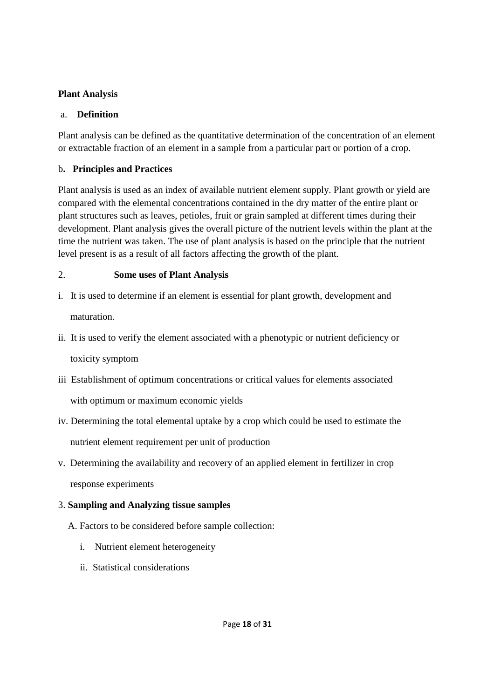## **Plant Analysis**

### a. **Definition**

Plant analysis can be defined as the quantitative determination of the concentration of an element or extractable fraction of an element in a sample from a particular part or portion of a crop.

## b**. Principles and Practices**

Plant analysis is used as an index of available nutrient element supply. Plant growth or yield are compared with the elemental concentrations contained in the dry matter of the entire plant or plant structures such as leaves, petioles, fruit or grain sampled at different times during their development. Plant analysis gives the overall picture of the nutrient levels within the plant at the time the nutrient was taken. The use of plant analysis is based on the principle that the nutrient level present is as a result of all factors affecting the growth of the plant.

# 2. **Some uses of Plant Analysis**

- i. It is used to determine if an element is essential for plant growth, development and maturation.
- ii. It is used to verify the element associated with a phenotypic or nutrient deficiency or toxicity symptom
- iii Establishment of optimum concentrations or critical values for elements associated with optimum or maximum economic yields
- iv. Determining the total elemental uptake by a crop which could be used to estimate the nutrient element requirement per unit of production
- v. Determining the availability and recovery of an applied element in fertilizer in crop response experiments

# 3. **Sampling and Analyzing tissue samples**

- A. Factors to be considered before sample collection:
	- i. Nutrient element heterogeneity
	- ii. Statistical considerations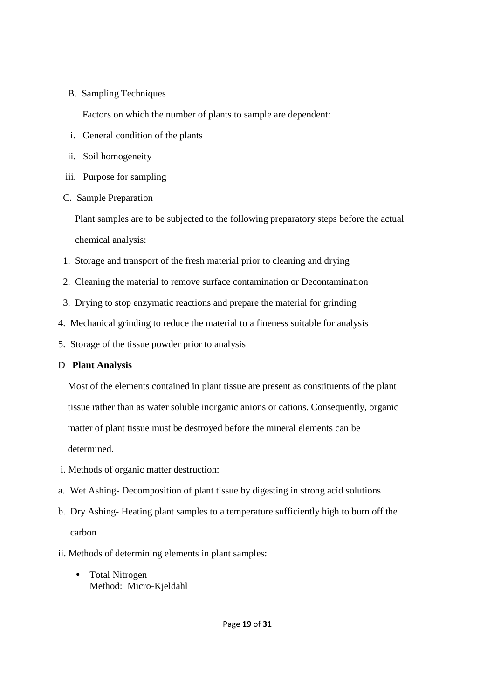B. Sampling Techniques

Factors on which the number of plants to sample are dependent:

- i. General condition of the plants
- ii. Soil homogeneity
- iii. Purpose for sampling
- C. Sample Preparation

 Plant samples are to be subjected to the following preparatory steps before the actual chemical analysis:

- 1. Storage and transport of the fresh material prior to cleaning and drying
- 2. Cleaning the material to remove surface contamination or Decontamination
- 3. Drying to stop enzymatic reactions and prepare the material for grinding
- 4. Mechanical grinding to reduce the material to a fineness suitable for analysis
- 5. Storage of the tissue powder prior to analysis

## D **Plant Analysis**

 Most of the elements contained in plant tissue are present as constituents of the plant tissue rather than as water soluble inorganic anions or cations. Consequently, organic matter of plant tissue must be destroyed before the mineral elements can be determined.

- i. Methods of organic matter destruction:
- a. Wet Ashing- Decomposition of plant tissue by digesting in strong acid solutions
- b. Dry Ashing- Heating plant samples to a temperature sufficiently high to burn off the carbon
- ii. Methods of determining elements in plant samples:
	- Total Nitrogen Method: Micro-Kjeldahl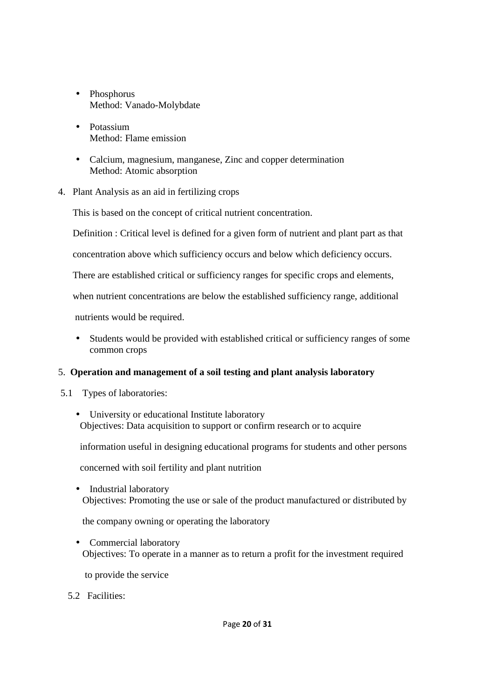- Phosphorus Method: Vanado-Molybdate
- Potassium Method: Flame emission
- Calcium, magnesium, manganese, Zinc and copper determination Method: Atomic absorption
- 4. Plant Analysis as an aid in fertilizing crops

This is based on the concept of critical nutrient concentration.

Definition : Critical level is defined for a given form of nutrient and plant part as that

concentration above which sufficiency occurs and below which deficiency occurs.

There are established critical or sufficiency ranges for specific crops and elements,

when nutrient concentrations are below the established sufficiency range, additional

nutrients would be required.

• Students would be provided with established critical or sufficiency ranges of some common crops

## 5. **Operation and management of a soil testing and plant analysis laboratory**

- 5.1 Types of laboratories:
	- University or educational Institute laboratory Objectives: Data acquisition to support or confirm research or to acquire

information useful in designing educational programs for students and other persons

concerned with soil fertility and plant nutrition

• Industrial laboratory Objectives: Promoting the use or sale of the product manufactured or distributed by

the company owning or operating the laboratory

• Commercial laboratory Objectives: To operate in a manner as to return a profit for the investment required

to provide the service

5.2 Facilities: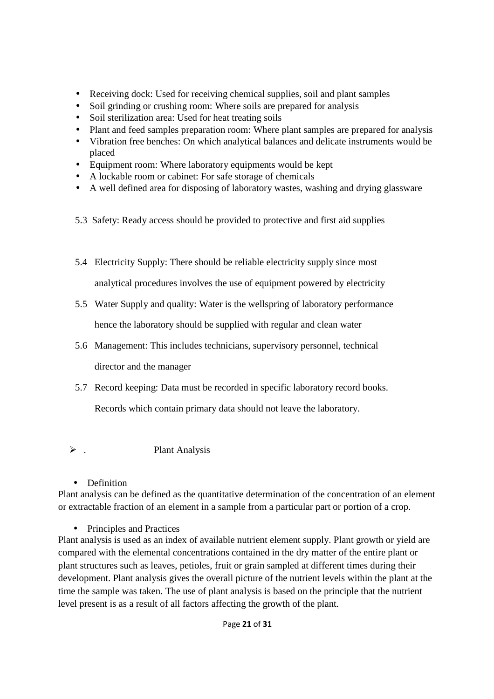- Receiving dock: Used for receiving chemical supplies, soil and plant samples
- Soil grinding or crushing room: Where soils are prepared for analysis
- Soil sterilization area: Used for heat treating soils
- Plant and feed samples preparation room: Where plant samples are prepared for analysis
- Vibration free benches: On which analytical balances and delicate instruments would be placed
- Equipment room: Where laboratory equipments would be kept
- A lockable room or cabinet: For safe storage of chemicals
- A well defined area for disposing of laboratory wastes, washing and drying glassware
- 5.3 Safety: Ready access should be provided to protective and first aid supplies
- 5.4 Electricity Supply: There should be reliable electricity supply since most analytical procedures involves the use of equipment powered by electricity
- 5.5 Water Supply and quality: Water is the wellspring of laboratory performance hence the laboratory should be supplied with regular and clean water
- 5.6 Management: This includes technicians, supervisory personnel, technical director and the manager
- 5.7 Record keeping: Data must be recorded in specific laboratory record books.

Records which contain primary data should not leave the laboratory.

 $\triangleright$ . . Plant Analysis

• Definition

Plant analysis can be defined as the quantitative determination of the concentration of an element or extractable fraction of an element in a sample from a particular part or portion of a crop.

• Principles and Practices

Plant analysis is used as an index of available nutrient element supply. Plant growth or yield are compared with the elemental concentrations contained in the dry matter of the entire plant or plant structures such as leaves, petioles, fruit or grain sampled at different times during their development. Plant analysis gives the overall picture of the nutrient levels within the plant at the time the sample was taken. The use of plant analysis is based on the principle that the nutrient level present is as a result of all factors affecting the growth of the plant.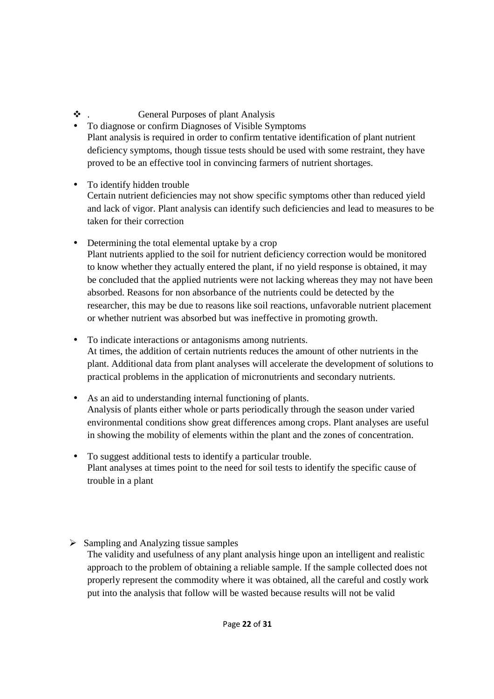# . General Purposes of plant Analysis

- To diagnose or confirm Diagnoses of Visible Symptoms Plant analysis is required in order to confirm tentative identification of plant nutrient deficiency symptoms, though tissue tests should be used with some restraint, they have proved to be an effective tool in convincing farmers of nutrient shortages.
- To identify hidden trouble Certain nutrient deficiencies may not show specific symptoms other than reduced yield and lack of vigor. Plant analysis can identify such deficiencies and lead to measures to be taken for their correction
- Determining the total elemental uptake by a crop Plant nutrients applied to the soil for nutrient deficiency correction would be monitored to know whether they actually entered the plant, if no yield response is obtained, it may be concluded that the applied nutrients were not lacking whereas they may not have been absorbed. Reasons for non absorbance of the nutrients could be detected by the researcher, this may be due to reasons like soil reactions, unfavorable nutrient placement or whether nutrient was absorbed but was ineffective in promoting growth.
- To indicate interactions or antagonisms among nutrients. At times, the addition of certain nutrients reduces the amount of other nutrients in the plant. Additional data from plant analyses will accelerate the development of solutions to practical problems in the application of micronutrients and secondary nutrients.
- As an aid to understanding internal functioning of plants. Analysis of plants either whole or parts periodically through the season under varied environmental conditions show great differences among crops. Plant analyses are useful in showing the mobility of elements within the plant and the zones of concentration.
- To suggest additional tests to identify a particular trouble. Plant analyses at times point to the need for soil tests to identify the specific cause of trouble in a plant
- Sampling and Analyzing tissue samples The validity and usefulness of any plant analysis hinge upon an intelligent and realistic approach to the problem of obtaining a reliable sample. If the sample collected does not properly represent the commodity where it was obtained, all the careful and costly work put into the analysis that follow will be wasted because results will not be valid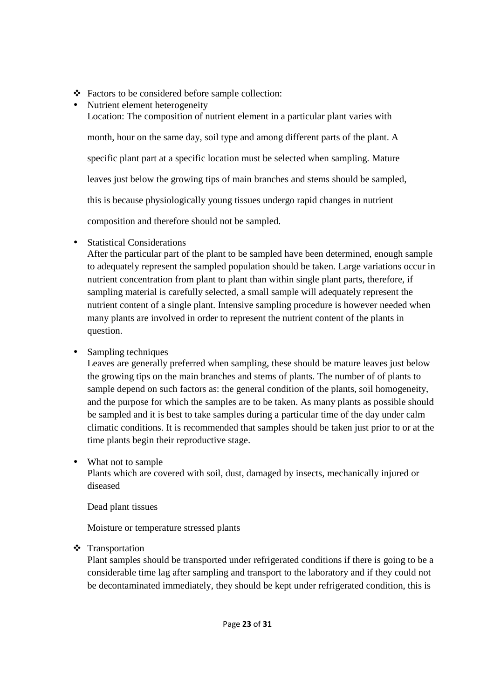- Factors to be considered before sample collection:
- Nutrient element heterogeneity Location: The composition of nutrient element in a particular plant varies with month, hour on the same day, soil type and among different parts of the plant. A specific plant part at a specific location must be selected when sampling. Mature leaves just below the growing tips of main branches and stems should be sampled, this is because physiologically young tissues undergo rapid changes in nutrient composition and therefore should not be sampled.
- Statistical Considerations

After the particular part of the plant to be sampled have been determined, enough sample to adequately represent the sampled population should be taken. Large variations occur in nutrient concentration from plant to plant than within single plant parts, therefore, if sampling material is carefully selected, a small sample will adequately represent the nutrient content of a single plant. Intensive sampling procedure is however needed when many plants are involved in order to represent the nutrient content of the plants in question.

• Sampling techniques

Leaves are generally preferred when sampling, these should be mature leaves just below the growing tips on the main branches and stems of plants. The number of of plants to sample depend on such factors as: the general condition of the plants, soil homogeneity, and the purpose for which the samples are to be taken. As many plants as possible should be sampled and it is best to take samples during a particular time of the day under calm climatic conditions. It is recommended that samples should be taken just prior to or at the time plants begin their reproductive stage.

• What not to sample

Plants which are covered with soil, dust, damaged by insects, mechanically injured or diseased

Dead plant tissues

Moisture or temperature stressed plants

# ❖ Transportation

Plant samples should be transported under refrigerated conditions if there is going to be a considerable time lag after sampling and transport to the laboratory and if they could not be decontaminated immediately, they should be kept under refrigerated condition, this is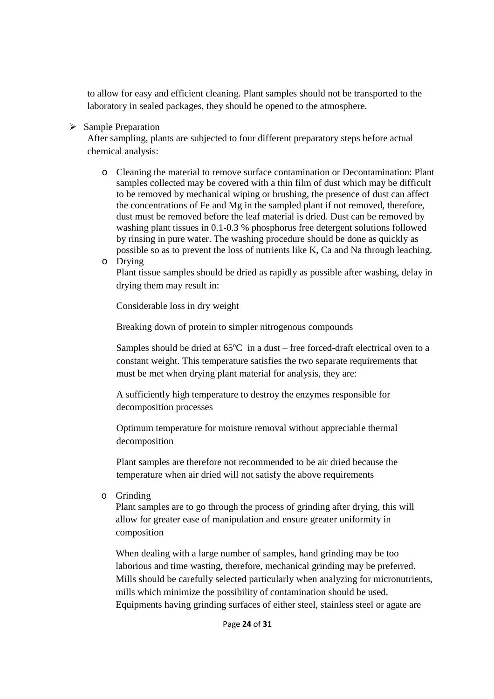to allow for easy and efficient cleaning. Plant samples should not be transported to the laboratory in sealed packages, they should be opened to the atmosphere.

### > Sample Preparation

After sampling, plants are subjected to four different preparatory steps before actual chemical analysis:

- o Cleaning the material to remove surface contamination or Decontamination: Plant samples collected may be covered with a thin film of dust which may be difficult to be removed by mechanical wiping or brushing, the presence of dust can affect the concentrations of Fe and Mg in the sampled plant if not removed, therefore, dust must be removed before the leaf material is dried. Dust can be removed by washing plant tissues in 0.1-0.3 % phosphorus free detergent solutions followed by rinsing in pure water. The washing procedure should be done as quickly as possible so as to prevent the loss of nutrients like K, Ca and Na through leaching.
- o Drying

Plant tissue samples should be dried as rapidly as possible after washing, delay in drying them may result in:

Considerable loss in dry weight

Breaking down of protein to simpler nitrogenous compounds

Samples should be dried at 65ºC in a dust – free forced-draft electrical oven to a constant weight. This temperature satisfies the two separate requirements that must be met when drying plant material for analysis, they are:

A sufficiently high temperature to destroy the enzymes responsible for decomposition processes

Optimum temperature for moisture removal without appreciable thermal decomposition

Plant samples are therefore not recommended to be air dried because the temperature when air dried will not satisfy the above requirements

o Grinding

Plant samples are to go through the process of grinding after drying, this will allow for greater ease of manipulation and ensure greater uniformity in composition

When dealing with a large number of samples, hand grinding may be too laborious and time wasting, therefore, mechanical grinding may be preferred. Mills should be carefully selected particularly when analyzing for micronutrients, mills which minimize the possibility of contamination should be used. Equipments having grinding surfaces of either steel, stainless steel or agate are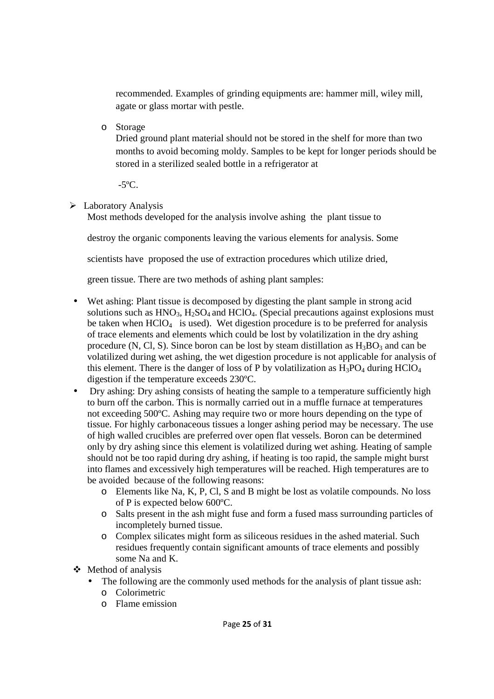recommended. Examples of grinding equipments are: hammer mill, wiley mill, agate or glass mortar with pestle.

o Storage

Dried ground plant material should not be stored in the shelf for more than two months to avoid becoming moldy. Samples to be kept for longer periods should be stored in a sterilized sealed bottle in a refrigerator at

 $-5^{\circ}$ C.

> Laboratory Analysis

Most methods developed for the analysis involve ashing the plant tissue to

destroy the organic components leaving the various elements for analysis. Some

scientists have proposed the use of extraction procedures which utilize dried,

green tissue. There are two methods of ashing plant samples:

- Wet ashing: Plant tissue is decomposed by digesting the plant sample in strong acid solutions such as  $HNO<sub>3</sub>$ ,  $H<sub>2</sub>SO<sub>4</sub>$  and  $HClO<sub>4</sub>$ . (Special precautions against explosions must be taken when  $HCIO_4$  is used). Wet digestion procedure is to be preferred for analysis of trace elements and elements which could be lost by volatilization in the dry ashing procedure (N, Cl, S). Since boron can be lost by steam distillation as  $H_3BO_3$  and can be volatilized during wet ashing, the wet digestion procedure is not applicable for analysis of this element. There is the danger of loss of P by volatilization as  $H_3PO_4$  during  $HClO_4$ digestion if the temperature exceeds 230ºC.
- Dry ashing: Dry ashing consists of heating the sample to a temperature sufficiently high to burn off the carbon. This is normally carried out in a muffle furnace at temperatures not exceeding 500ºC. Ashing may require two or more hours depending on the type of tissue. For highly carbonaceous tissues a longer ashing period may be necessary. The use of high walled crucibles are preferred over open flat vessels. Boron can be determined only by dry ashing since this element is volatilized during wet ashing. Heating of sample should not be too rapid during dry ashing, if heating is too rapid, the sample might burst into flames and excessively high temperatures will be reached. High temperatures are to be avoided because of the following reasons:
	- o Elements like Na, K, P, Cl, S and B might be lost as volatile compounds. No loss of P is expected below 600ºC.
	- o Salts present in the ash might fuse and form a fused mass surrounding particles of incompletely burned tissue.
	- o Complex silicates might form as siliceous residues in the ashed material. Such residues frequently contain significant amounts of trace elements and possibly some Na and K.
- $\div$  Method of analysis
	- The following are the commonly used methods for the analysis of plant tissue ash:
		- o Colorimetric
		- o Flame emission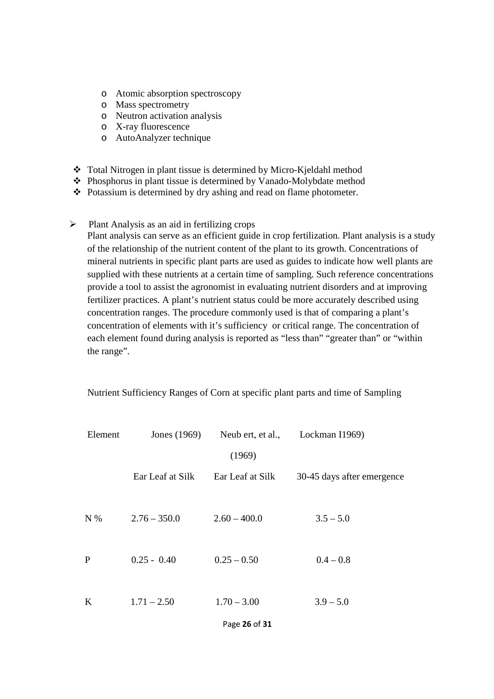- o Atomic absorption spectroscopy
- o Mass spectrometry
- o Neutron activation analysis
- o X-ray fluorescence
- o AutoAnalyzer technique
- Total Nitrogen in plant tissue is determined by Micro-Kjeldahl method
- Phosphorus in plant tissue is determined by Vanado-Molybdate method
- Potassium is determined by dry ashing and read on flame photometer.
- $\blacktriangleright$ Plant Analysis as an aid in fertilizing crops

Plant analysis can serve as an efficient guide in crop fertilization. Plant analysis is a study of the relationship of the nutrient content of the plant to its growth. Concentrations of mineral nutrients in specific plant parts are used as guides to indicate how well plants are supplied with these nutrients at a certain time of sampling. Such reference concentrations provide a tool to assist the agronomist in evaluating nutrient disorders and at improving fertilizer practices. A plant's nutrient status could be more accurately described using concentration ranges. The procedure commonly used is that of comparing a plant's concentration of elements with it's sufficiency or critical range. The concentration of each element found during analysis is reported as "less than" "greater than" or "within the range".

| Nutrient Sufficiency Ranges of Corn at specific plant parts and time of Sampling |
|----------------------------------------------------------------------------------|
|----------------------------------------------------------------------------------|

| Element      | Jones (1969)     | Neub ert, et al., | Lockman I1969)             |
|--------------|------------------|-------------------|----------------------------|
|              |                  | (1969)            |                            |
|              | Ear Leaf at Silk | Ear Leaf at Silk  | 30-45 days after emergence |
| N%           | $2.76 - 350.0$   | $2.60 - 400.0$    | $3.5 - 5.0$                |
| $\mathbf{P}$ | $0.25 - 0.40$    | $0.25 - 0.50$     | $0.4 - 0.8$                |
| K            | $1.71 - 2.50$    | $1.70 - 3.00$     | $3.9 - 5.0$                |

Page **26** of **31**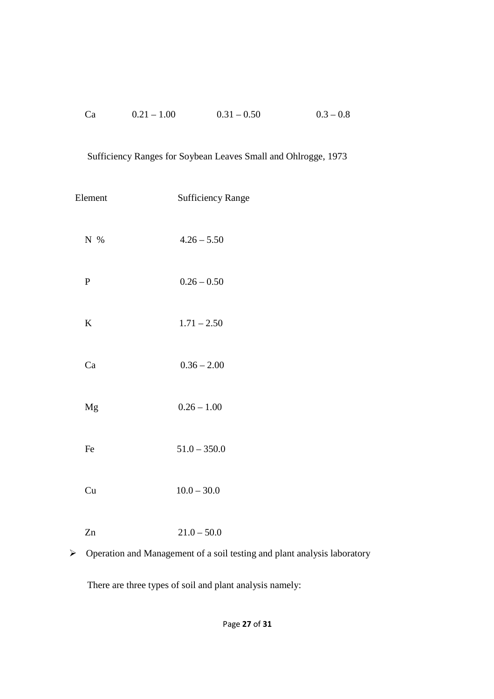| Ca | $0.21 - 1.00$ | $0.31 - 0.50$ | $0.3 - 0.8$ |
|----|---------------|---------------|-------------|
|    |               |               |             |

# Sufficiency Ranges for Soybean Leaves Small and Ohlrogge, 1973

| Element   | <b>Sufficiency Range</b> |  |  |
|-----------|--------------------------|--|--|
| N %       | $4.26 - 5.50$            |  |  |
| ${\bf P}$ | $0.26 - 0.50$            |  |  |
| K         | $1.71 - 2.50$            |  |  |
| Ca        | $0.36 - 2.00$            |  |  |
| Mg        | $0.26 - 1.00$            |  |  |
| Fe        | $51.0 - 350.0$           |  |  |
| Cu        | $10.0 - 30.0$            |  |  |
| Zn        | $21.0 - 50.0$            |  |  |
|           |                          |  |  |

> Operation and Management of a soil testing and plant analysis laboratory

There are three types of soil and plant analysis namely: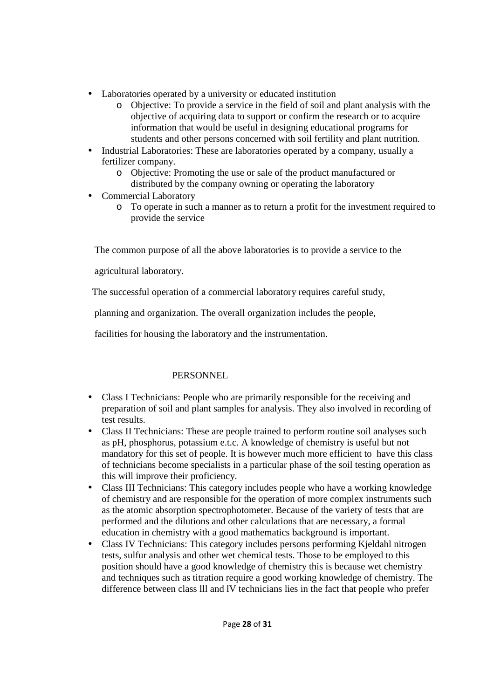- Laboratories operated by a university or educated institution
	- o Objective: To provide a service in the field of soil and plant analysis with the objective of acquiring data to support or confirm the research or to acquire information that would be useful in designing educational programs for students and other persons concerned with soil fertility and plant nutrition.
- Industrial Laboratories: These are laboratories operated by a company, usually a fertilizer company.
	- o Objective: Promoting the use or sale of the product manufactured or distributed by the company owning or operating the laboratory
- Commercial Laboratory
	- o To operate in such a manner as to return a profit for the investment required to provide the service

The common purpose of all the above laboratories is to provide a service to the

agricultural laboratory.

The successful operation of a commercial laboratory requires careful study,

planning and organization. The overall organization includes the people,

facilities for housing the laboratory and the instrumentation.

# PERSONNEL

- Class I Technicians: People who are primarily responsible for the receiving and preparation of soil and plant samples for analysis. They also involved in recording of test results.
- Class II Technicians: These are people trained to perform routine soil analyses such as pH, phosphorus, potassium e.t.c. A knowledge of chemistry is useful but not mandatory for this set of people. It is however much more efficient to have this class of technicians become specialists in a particular phase of the soil testing operation as this will improve their proficiency.
- Class III Technicians: This category includes people who have a working knowledge of chemistry and are responsible for the operation of more complex instruments such as the atomic absorption spectrophotometer. Because of the variety of tests that are performed and the dilutions and other calculations that are necessary, a formal education in chemistry with a good mathematics background is important.
- Class IV Technicians: This category includes persons performing Kjeldahl nitrogen tests, sulfur analysis and other wet chemical tests. Those to be employed to this position should have a good knowledge of chemistry this is because wet chemistry and techniques such as titration require a good working knowledge of chemistry. The difference between class lll and lV technicians lies in the fact that people who prefer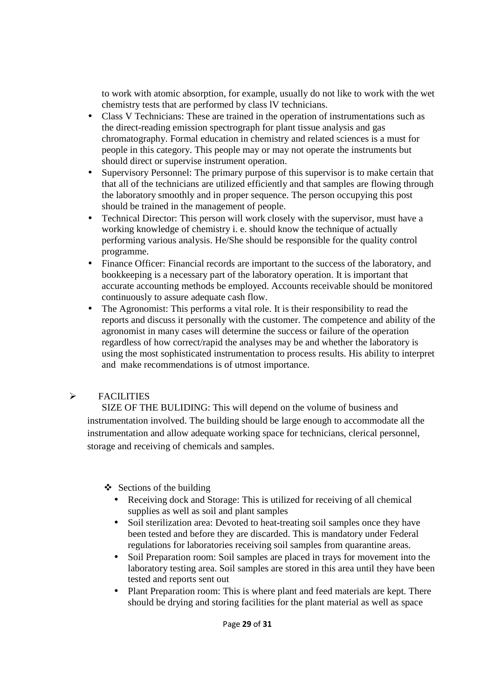to work with atomic absorption, for example, usually do not like to work with the wet chemistry tests that are performed by class lV technicians.

- Class V Technicians: These are trained in the operation of instrumentations such as the direct-reading emission spectrograph for plant tissue analysis and gas chromatography. Formal education in chemistry and related sciences is a must for people in this category. This people may or may not operate the instruments but should direct or supervise instrument operation.
- Supervisory Personnel: The primary purpose of this supervisor is to make certain that that all of the technicians are utilized efficiently and that samples are flowing through the laboratory smoothly and in proper sequence. The person occupying this post should be trained in the management of people.
- Technical Director: This person will work closely with the supervisor, must have a working knowledge of chemistry i. e. should know the technique of actually performing various analysis. He/She should be responsible for the quality control programme.
- Finance Officer: Financial records are important to the success of the laboratory, and bookkeeping is a necessary part of the laboratory operation. It is important that accurate accounting methods be employed. Accounts receivable should be monitored continuously to assure adequate cash flow.
- The Agronomist: This performs a vital role. It is their responsibility to read the reports and discuss it personally with the customer. The competence and ability of the agronomist in many cases will determine the success or failure of the operation regardless of how correct/rapid the analyses may be and whether the laboratory is using the most sophisticated instrumentation to process results. His ability to interpret and make recommendations is of utmost importance.

#### $\blacktriangleright$ FACILITIES

 SIZE OF THE BULIDING: This will depend on the volume of business and instrumentation involved. The building should be large enough to accommodate all the instrumentation and allow adequate working space for technicians, clerical personnel, storage and receiving of chemicals and samples.

 $\triangle$  Sections of the building

- Receiving dock and Storage: This is utilized for receiving of all chemical supplies as well as soil and plant samples
- Soil sterilization area: Devoted to heat-treating soil samples once they have been tested and before they are discarded. This is mandatory under Federal regulations for laboratories receiving soil samples from quarantine areas.
- Soil Preparation room: Soil samples are placed in trays for movement into the laboratory testing area. Soil samples are stored in this area until they have been tested and reports sent out
- Plant Preparation room: This is where plant and feed materials are kept. There should be drying and storing facilities for the plant material as well as space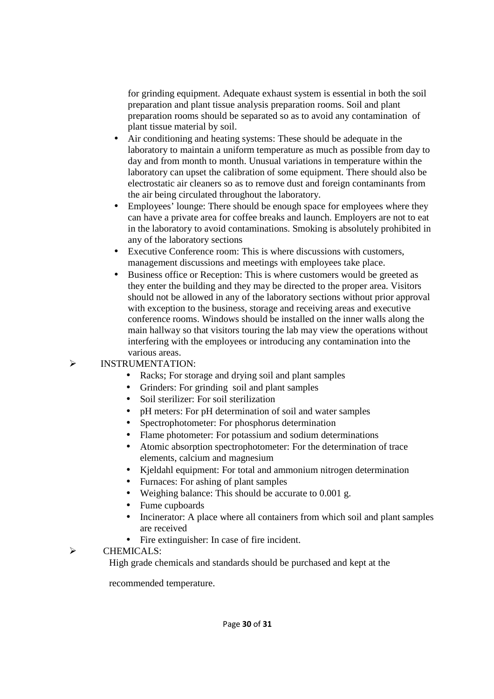for grinding equipment. Adequate exhaust system is essential in both the soil preparation and plant tissue analysis preparation rooms. Soil and plant preparation rooms should be separated so as to avoid any contamination of plant tissue material by soil.

- Air conditioning and heating systems: These should be adequate in the laboratory to maintain a uniform temperature as much as possible from day to day and from month to month. Unusual variations in temperature within the laboratory can upset the calibration of some equipment. There should also be electrostatic air cleaners so as to remove dust and foreign contaminants from the air being circulated throughout the laboratory.
- Employees' lounge: There should be enough space for employees where they can have a private area for coffee breaks and launch. Employers are not to eat in the laboratory to avoid contaminations. Smoking is absolutely prohibited in any of the laboratory sections
- Executive Conference room: This is where discussions with customers, management discussions and meetings with employees take place.
- Business office or Reception: This is where customers would be greeted as they enter the building and they may be directed to the proper area. Visitors should not be allowed in any of the laboratory sections without prior approval with exception to the business, storage and receiving areas and executive conference rooms. Windows should be installed on the inner walls along the main hallway so that visitors touring the lab may view the operations without interfering with the employees or introducing any contamination into the various areas.

#### $\blacktriangleright$ INSTRUMENTATION:

- Racks; For storage and drying soil and plant samples
- Grinders: For grinding soil and plant samples
- Soil sterilizer: For soil sterilization
- pH meters: For pH determination of soil and water samples
- Spectrophotometer: For phosphorus determination
- Flame photometer: For potassium and sodium determinations
- Atomic absorption spectrophotometer: For the determination of trace elements, calcium and magnesium
- Kjeldahl equipment: For total and ammonium nitrogen determination
- Furnaces: For ashing of plant samples
- Weighing balance: This should be accurate to 0.001 g.
- Fume cupboards
- Incinerator: A place where all containers from which soil and plant samples are received
- Fire extinguisher: In case of fire incident.

#### $\blacktriangleright$ CHEMICALS:

High grade chemicals and standards should be purchased and kept at the

recommended temperature.